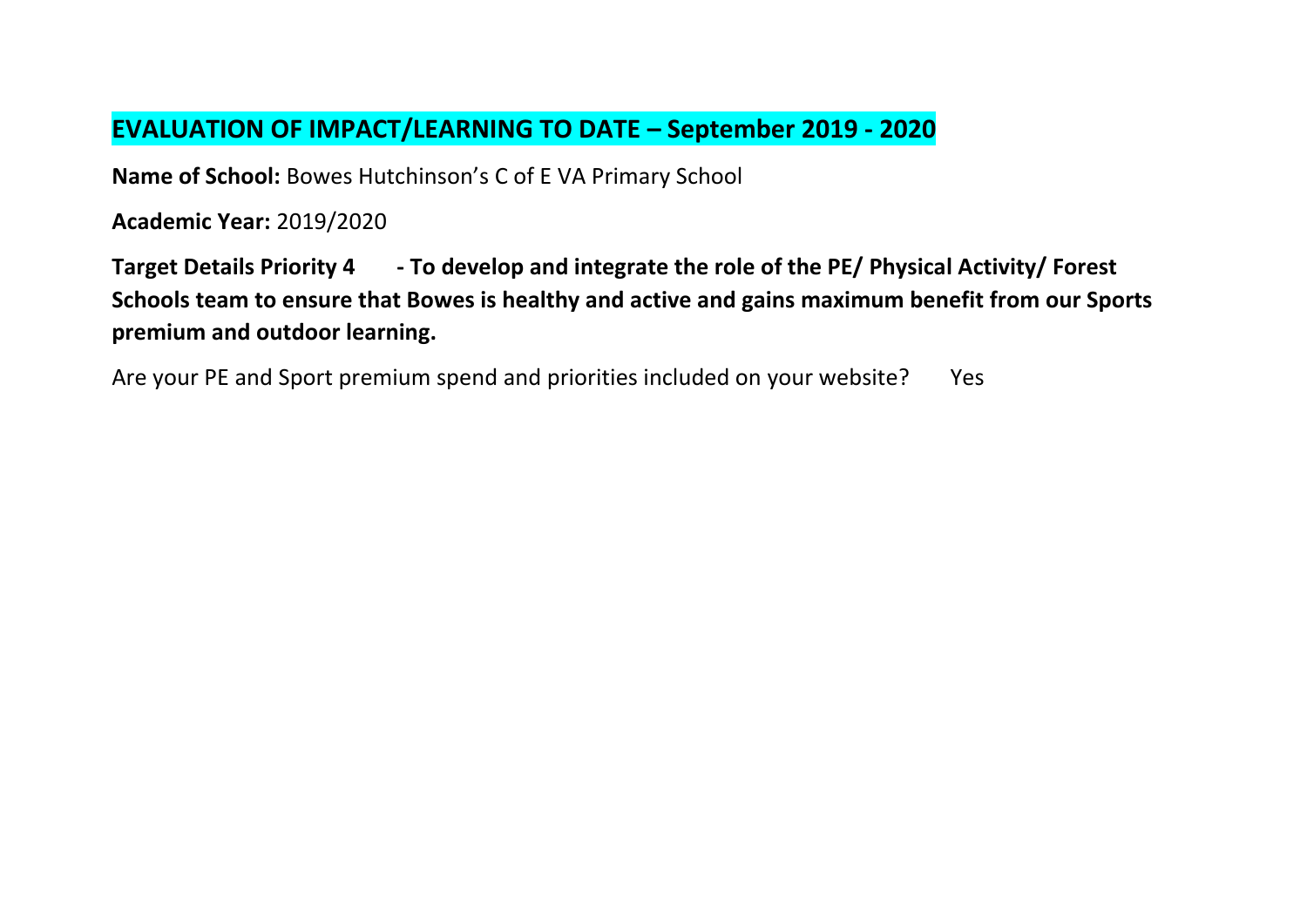## **EVALUATION OF IMPACT/LEARNING TO DATE – September 2019 - 2020**

**Name of School:** Bowes Hutchinson's C of E VA Primary School

**Academic Year:** 2019/2020

**Target Details Priority 4 - To develop and integrate the role of the PE/ Physical Activity/ Forest Schools team to ensure that Bowes is healthy and active and gains maximum benefit from our Sports premium and outdoor learning.**

Are your PE and Sport premium spend and priorities included on your website? Yes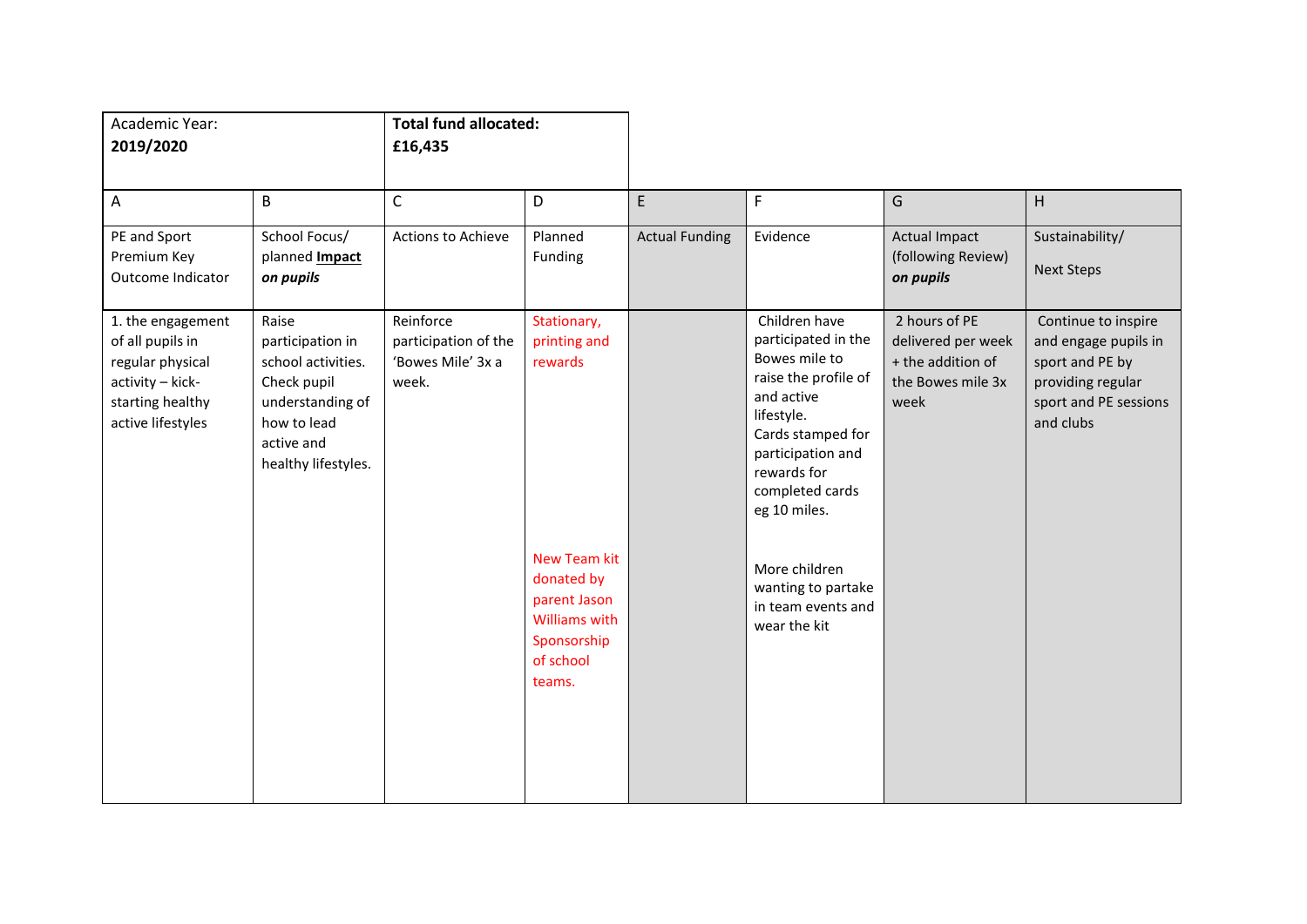| Academic Year:<br>2019/2020                                                                                            |                                                                                                                                        | <b>Total fund allocated:</b><br>£16,435                         |                                                                                                                 |                       |                                                                                                                                                                                                       |                                                                                       |                                                                                                                           |
|------------------------------------------------------------------------------------------------------------------------|----------------------------------------------------------------------------------------------------------------------------------------|-----------------------------------------------------------------|-----------------------------------------------------------------------------------------------------------------|-----------------------|-------------------------------------------------------------------------------------------------------------------------------------------------------------------------------------------------------|---------------------------------------------------------------------------------------|---------------------------------------------------------------------------------------------------------------------------|
| Α                                                                                                                      | B                                                                                                                                      | $\mathsf{C}$                                                    | D                                                                                                               | E                     | $\mathsf F$                                                                                                                                                                                           | G                                                                                     | H.                                                                                                                        |
| PE and Sport<br>Premium Key<br>Outcome Indicator                                                                       | School Focus/<br>planned <b>Impact</b><br>on pupils                                                                                    | Actions to Achieve                                              | Planned<br>Funding                                                                                              | <b>Actual Funding</b> | Evidence                                                                                                                                                                                              | <b>Actual Impact</b><br>(following Review)<br>on pupils                               | Sustainability/<br><b>Next Steps</b>                                                                                      |
| 1. the engagement<br>of all pupils in<br>regular physical<br>activity - kick-<br>starting healthy<br>active lifestyles | Raise<br>participation in<br>school activities.<br>Check pupil<br>understanding of<br>how to lead<br>active and<br>healthy lifestyles. | Reinforce<br>participation of the<br>'Bowes Mile' 3x a<br>week. | Stationary,<br>printing and<br>rewards                                                                          |                       | Children have<br>participated in the<br>Bowes mile to<br>raise the profile of<br>and active<br>lifestyle.<br>Cards stamped for<br>participation and<br>rewards for<br>completed cards<br>eg 10 miles. | 2 hours of PE<br>delivered per week<br>+ the addition of<br>the Bowes mile 3x<br>week | Continue to inspire<br>and engage pupils in<br>sport and PE by<br>providing regular<br>sport and PE sessions<br>and clubs |
|                                                                                                                        |                                                                                                                                        |                                                                 | <b>New Team kit</b><br>donated by<br>parent Jason<br><b>Williams with</b><br>Sponsorship<br>of school<br>teams. |                       | More children<br>wanting to partake<br>in team events and<br>wear the kit                                                                                                                             |                                                                                       |                                                                                                                           |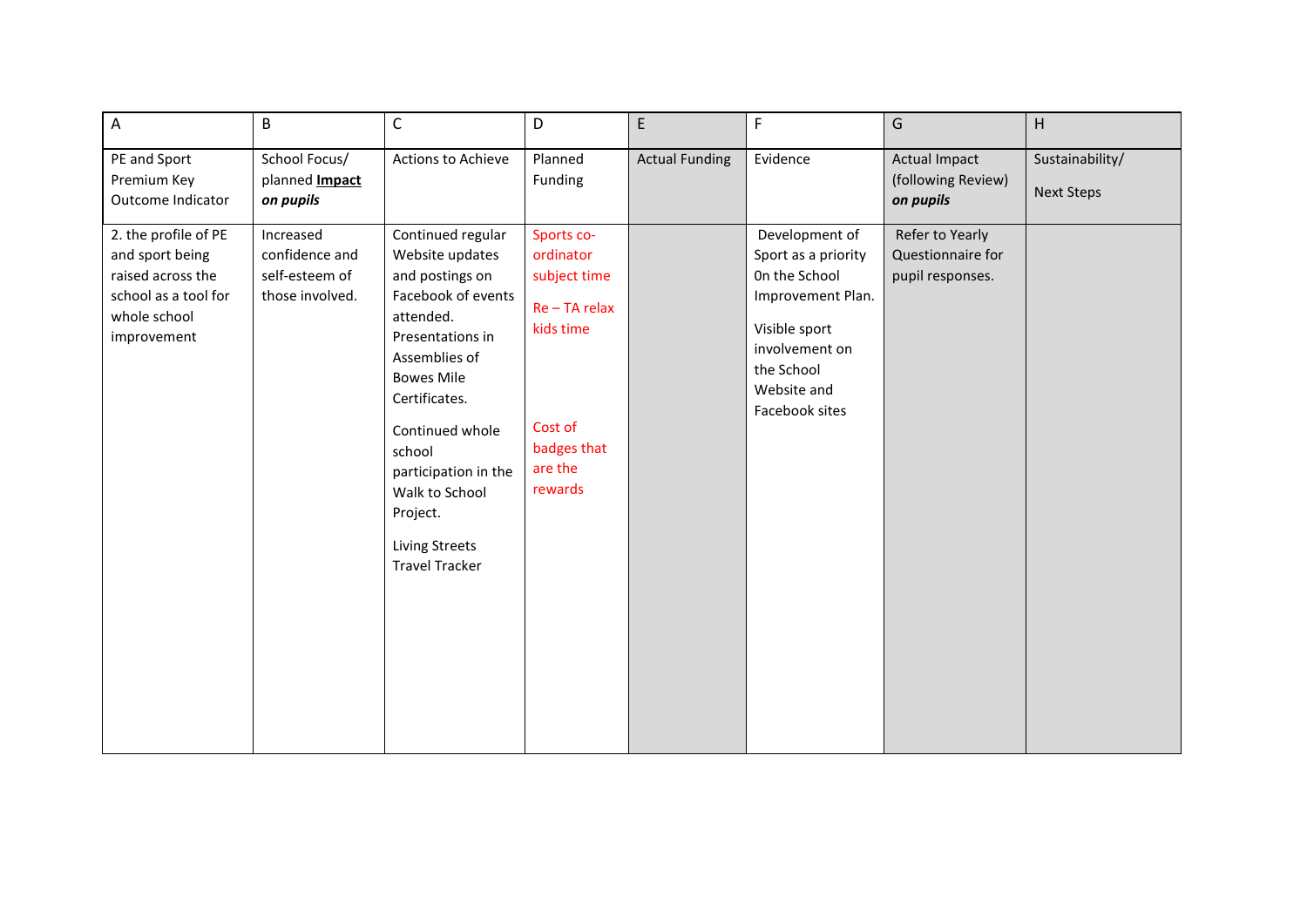| $\boldsymbol{\mathsf{A}}$                                                                                           | $\mathsf B$                                                      | $\mathsf C$                                                                                                                                                                                                                                                                                                | D                                                                                                                     | E                     | $\mathsf F$                                                                                                                                                   | G                                                        | H                                    |
|---------------------------------------------------------------------------------------------------------------------|------------------------------------------------------------------|------------------------------------------------------------------------------------------------------------------------------------------------------------------------------------------------------------------------------------------------------------------------------------------------------------|-----------------------------------------------------------------------------------------------------------------------|-----------------------|---------------------------------------------------------------------------------------------------------------------------------------------------------------|----------------------------------------------------------|--------------------------------------|
| PE and Sport<br>Premium Key<br>Outcome Indicator                                                                    | School Focus/<br>planned <b>Impact</b><br>on pupils              | Actions to Achieve                                                                                                                                                                                                                                                                                         | Planned<br>Funding                                                                                                    | <b>Actual Funding</b> | Evidence                                                                                                                                                      | <b>Actual Impact</b><br>(following Review)<br>on pupils  | Sustainability/<br><b>Next Steps</b> |
| 2. the profile of PE<br>and sport being<br>raised across the<br>school as a tool for<br>whole school<br>improvement | Increased<br>confidence and<br>self-esteem of<br>those involved. | Continued regular<br>Website updates<br>and postings on<br>Facebook of events<br>attended.<br>Presentations in<br>Assemblies of<br><b>Bowes Mile</b><br>Certificates.<br>Continued whole<br>school<br>participation in the<br>Walk to School<br>Project.<br><b>Living Streets</b><br><b>Travel Tracker</b> | Sports co-<br>ordinator<br>subject time<br>Re - TA relax<br>kids time<br>Cost of<br>badges that<br>are the<br>rewards |                       | Development of<br>Sport as a priority<br>On the School<br>Improvement Plan.<br>Visible sport<br>involvement on<br>the School<br>Website and<br>Facebook sites | Refer to Yearly<br>Questionnaire for<br>pupil responses. |                                      |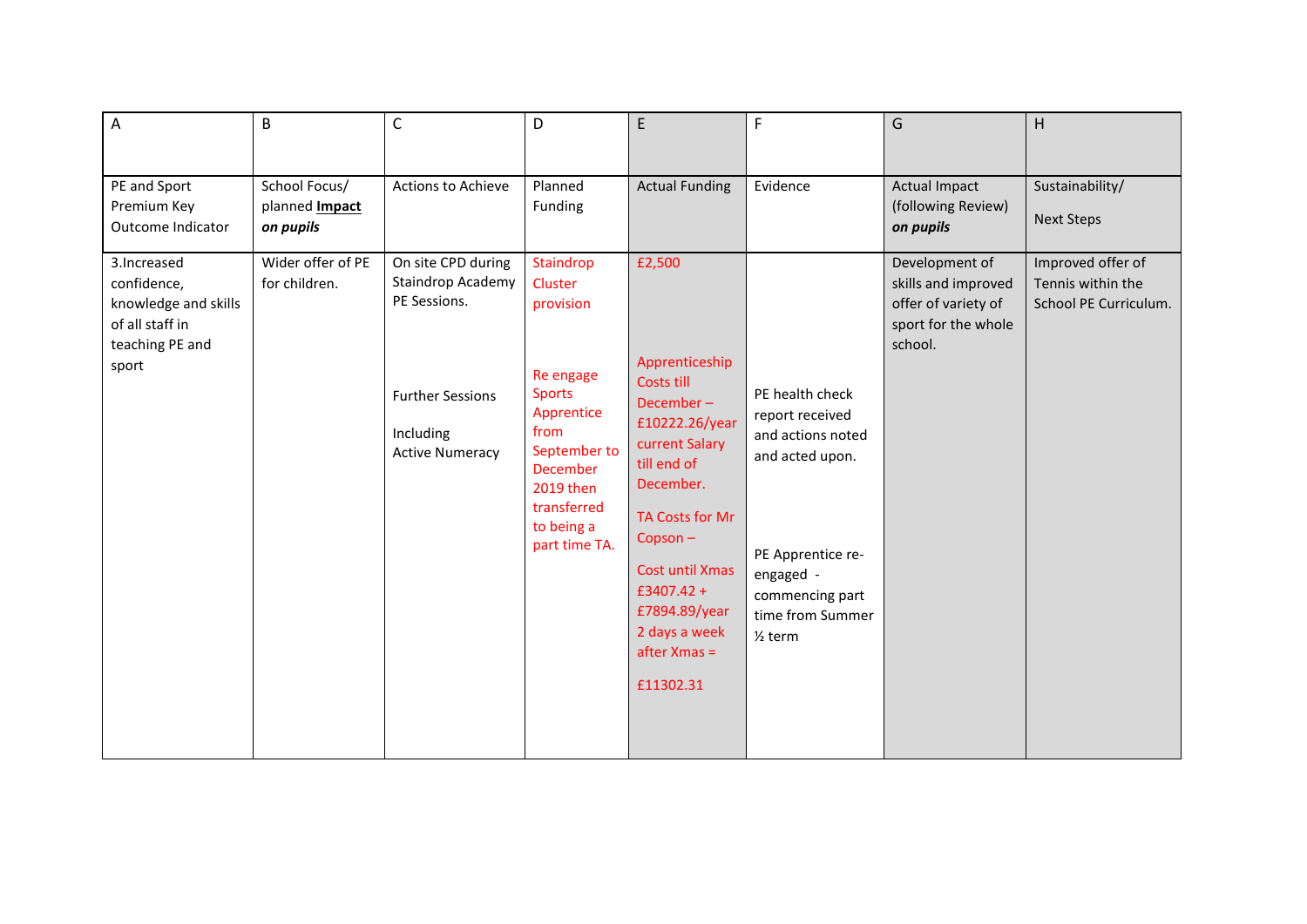| A                                                                                                  | B                                                   | $\mathsf{C}$                                                                                                              | D                                                                                                                                                                                   | E                                                                                                                                                                                                                                                            | F                                                                                                                                                                         | G                                                                                              | н                                                               |
|----------------------------------------------------------------------------------------------------|-----------------------------------------------------|---------------------------------------------------------------------------------------------------------------------------|-------------------------------------------------------------------------------------------------------------------------------------------------------------------------------------|--------------------------------------------------------------------------------------------------------------------------------------------------------------------------------------------------------------------------------------------------------------|---------------------------------------------------------------------------------------------------------------------------------------------------------------------------|------------------------------------------------------------------------------------------------|-----------------------------------------------------------------|
| PE and Sport<br>Premium Key<br>Outcome Indicator                                                   | School Focus/<br>planned <b>Impact</b><br>on pupils | Actions to Achieve                                                                                                        | Planned<br>Funding                                                                                                                                                                  | <b>Actual Funding</b>                                                                                                                                                                                                                                        | Evidence                                                                                                                                                                  | <b>Actual Impact</b><br>(following Review)<br>on pupils                                        | Sustainability/<br><b>Next Steps</b>                            |
| 3. Increased<br>confidence,<br>knowledge and skills<br>of all staff in<br>teaching PE and<br>sport | Wider offer of PE<br>for children.                  | On site CPD during<br>Staindrop Academy<br>PE Sessions.<br><b>Further Sessions</b><br>Including<br><b>Active Numeracy</b> | Staindrop<br>Cluster<br>provision<br>Re engage<br><b>Sports</b><br>Apprentice<br>from<br>September to<br><b>December</b><br>2019 then<br>transferred<br>to being a<br>part time TA. | £2,500<br>Apprenticeship<br>Costs till<br>December-<br>£10222.26/year<br>current Salary<br>till end of<br>December.<br>TA Costs for Mr<br>$Copson -$<br><b>Cost until Xmas</b><br>£3407.42+<br>£7894.89/year<br>2 days a week<br>$after Xmas =$<br>£11302.31 | PE health check<br>report received<br>and actions noted<br>and acted upon.<br>PE Apprentice re-<br>engaged -<br>commencing part<br>time from Summer<br>$\frac{1}{2}$ term | Development of<br>skills and improved<br>offer of variety of<br>sport for the whole<br>school. | Improved offer of<br>Tennis within the<br>School PE Curriculum. |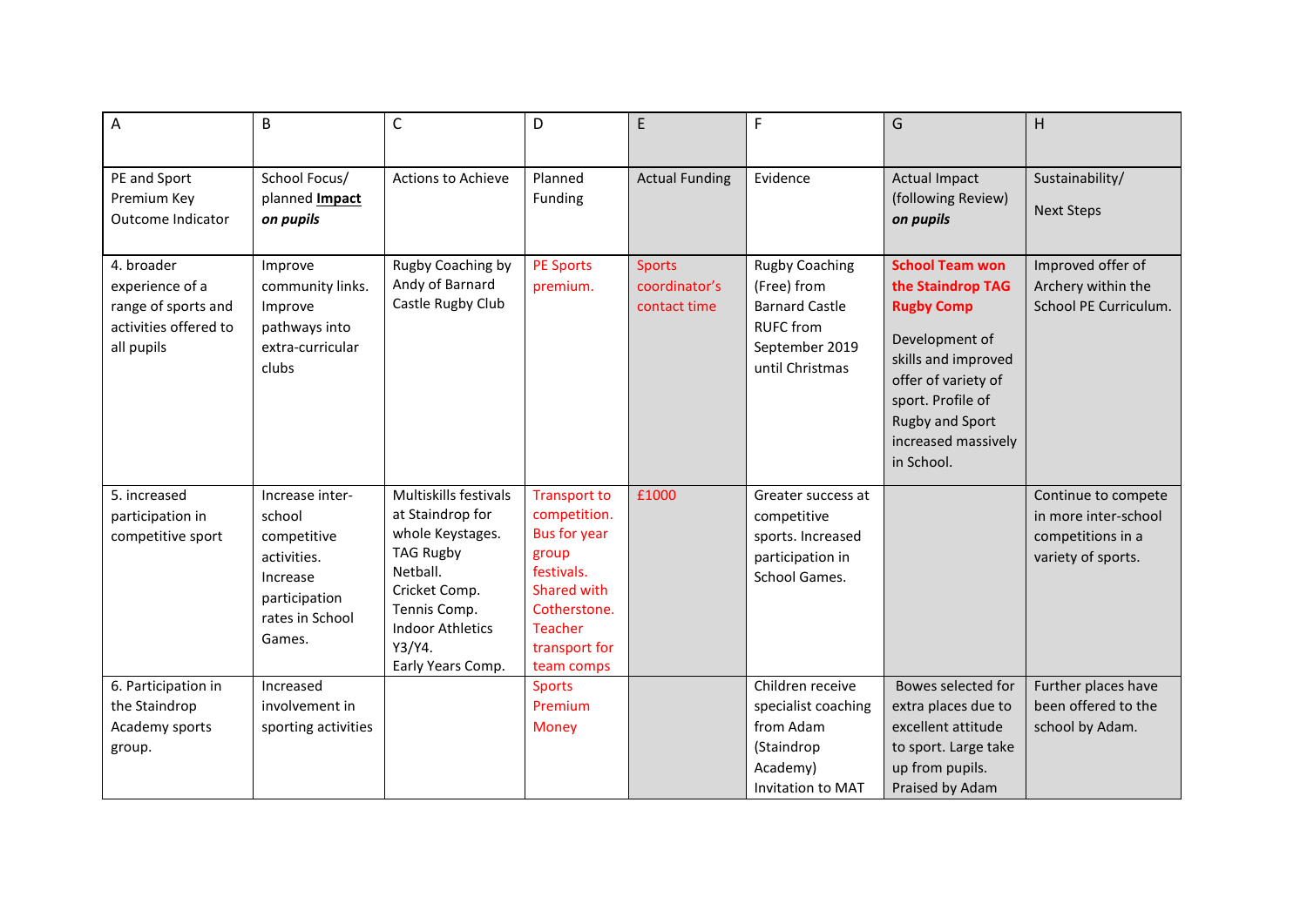| A                                                                                           | $\overline{B}$                                                                                                    | $\mathsf{C}$                                                                                                                                                                             | D                                                                                                                                                                 | E                                              | F                                                                                                                      | G                                                                                                                                                                                                                    | H                                                                                      |
|---------------------------------------------------------------------------------------------|-------------------------------------------------------------------------------------------------------------------|------------------------------------------------------------------------------------------------------------------------------------------------------------------------------------------|-------------------------------------------------------------------------------------------------------------------------------------------------------------------|------------------------------------------------|------------------------------------------------------------------------------------------------------------------------|----------------------------------------------------------------------------------------------------------------------------------------------------------------------------------------------------------------------|----------------------------------------------------------------------------------------|
| PE and Sport<br>Premium Key<br>Outcome Indicator                                            | School Focus/<br>planned <b>Impact</b><br>on pupils                                                               | <b>Actions to Achieve</b>                                                                                                                                                                | Planned<br>Funding                                                                                                                                                | <b>Actual Funding</b>                          | Evidence                                                                                                               | <b>Actual Impact</b><br>(following Review)<br>on pupils                                                                                                                                                              | Sustainability/<br><b>Next Steps</b>                                                   |
| 4. broader<br>experience of a<br>range of sports and<br>activities offered to<br>all pupils | Improve<br>community links.<br>Improve<br>pathways into<br>extra-curricular<br>clubs                              | Rugby Coaching by<br>Andy of Barnard<br>Castle Rugby Club                                                                                                                                | <b>PE Sports</b><br>premium.                                                                                                                                      | <b>Sports</b><br>coordinator's<br>contact time | <b>Rugby Coaching</b><br>(Free) from<br><b>Barnard Castle</b><br><b>RUFC</b> from<br>September 2019<br>until Christmas | <b>School Team won</b><br>the Staindrop TAG<br><b>Rugby Comp</b><br>Development of<br>skills and improved<br>offer of variety of<br>sport. Profile of<br><b>Rugby and Sport</b><br>increased massively<br>in School. | Improved offer of<br>Archery within the<br>School PE Curriculum.                       |
| 5. increased<br>participation in<br>competitive sport                                       | Increase inter-<br>school<br>competitive<br>activities.<br>Increase<br>participation<br>rates in School<br>Games. | Multiskills festivals<br>at Staindrop for<br>whole Keystages.<br><b>TAG Rugby</b><br>Netball.<br>Cricket Comp.<br>Tennis Comp.<br><b>Indoor Athletics</b><br>Y3/Y4.<br>Early Years Comp. | <b>Transport to</b><br>competition.<br><b>Bus for year</b><br>group<br>festivals.<br>Shared with<br>Cotherstone.<br><b>Teacher</b><br>transport for<br>team comps | £1000                                          | Greater success at<br>competitive<br>sports. Increased<br>participation in<br>School Games.                            |                                                                                                                                                                                                                      | Continue to compete<br>in more inter-school<br>competitions in a<br>variety of sports. |
| 6. Participation in<br>the Staindrop<br>Academy sports<br>group.                            | Increased<br>involvement in<br>sporting activities                                                                |                                                                                                                                                                                          | <b>Sports</b><br>Premium<br><b>Money</b>                                                                                                                          |                                                | Children receive<br>specialist coaching<br>from Adam<br>(Staindrop<br>Academy)<br>Invitation to MAT                    | Bowes selected for<br>extra places due to<br>excellent attitude<br>to sport. Large take<br>up from pupils.<br>Praised by Adam                                                                                        | Further places have<br>been offered to the<br>school by Adam.                          |